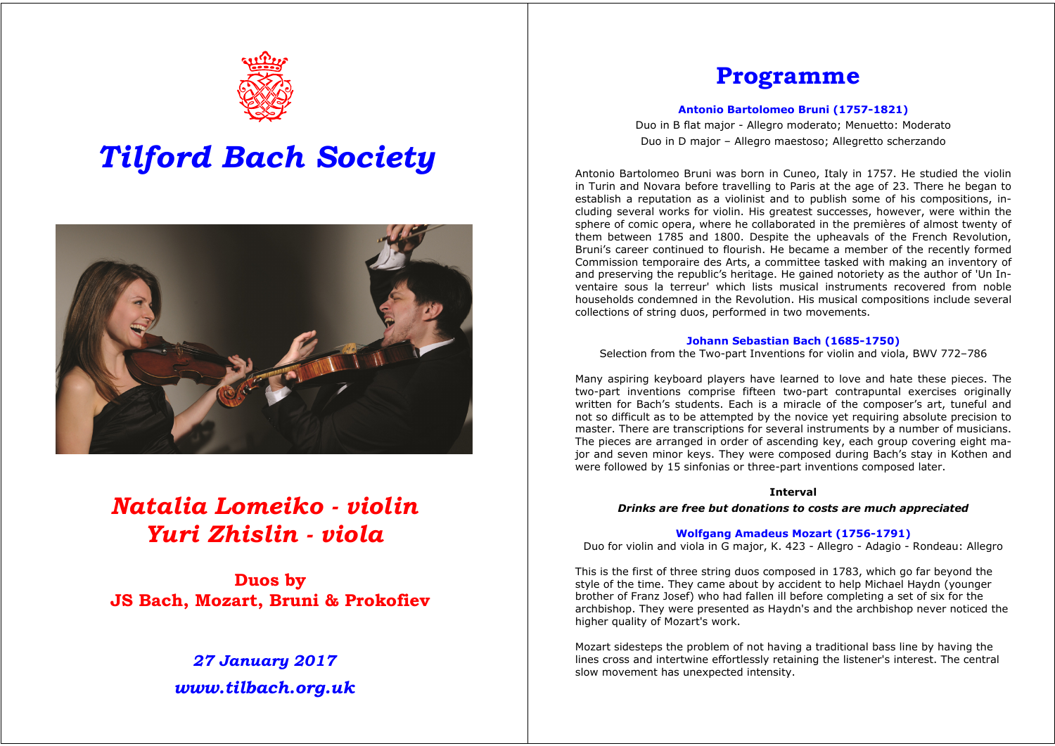

# *Tilford Bach Society*



## *Natalia Lomeiko - violin Yuri Zhislin - viola*

**Duos by JS Bach, Mozart, Bruni & Prokofiev**

### *27 January 2017 www.tilbach.org.uk*

### **Programme**

#### **Antonio Bartolomeo Bruni (1757-1821)**

Duo in B flat major - Allegro moderato; Menuetto: Moderato Duo in D major – Allegro maestoso; Allegretto scherzando

Antonio Bartolomeo Bruni was born in Cuneo, Italy in 1757. He studied the violin in Turin and Novara before travelling to Paris at the age of 23. There he began to establish a reputation as a violinist and to publish some of his compositions, including several works for violin. His greatest successes, however, were within the sphere of comic opera, where he collaborated in the premières of almost twenty of them between 1785 and 1800. Despite the upheavals of the French Revolution, Bruni's career continued to flourish. He became a member of the recently formed Commission temporaire des Arts, a committee tasked with making an inventory of and preserving the republic's heritage. He gained notoriety as the author of 'Un Inventaire sous la terreur' which lists musical instruments recovered from noble households condemned in the Revolution. His musical compositions include several collections of string duos, performed in two movements.

#### **Johann Sebastian Bach (1685-1750)**

Selection from the Two-part Inventions for violin and viola, BWV 772–786

Many aspiring keyboard players have learned to love and hate these pieces. The two-part inventions comprise fifteen two-part contrapuntal exercises originally written for Bach's students. Each is a miracle of the composer's art, tuneful and not so difficult as to be attempted by the novice yet requiring absolute precision to master. There are transcriptions for several instruments by a number of musicians. The pieces are arranged in order of ascending key, each group covering eight major and seven minor keys. They were composed during Bach's stay in Kothen and were followed by 15 sinfonias or three-part inventions composed later.

#### **Interval**

*Drinks are free but donations to costs are much appreciated*

#### **Wolfgang Amadeus Mozart (1756-1791)**

Duo for violin and viola in G major, K. 423 - Allegro - Adagio - Rondeau: Allegro

This is the first of three string duos composed in 1783, which go far beyond the style of the time. They came about by accident to help Michael Haydn (younger brother of Franz Josef) who had fallen ill before completing a set of six for the archbishop. They were presented as Haydn's and the archbishop never noticed the higher quality of Mozart's work.

Mozart sidesteps the problem of not having a traditional bass line by having the lines cross and intertwine effortlessly retaining the listener's interest. The central slow movement has unexpected intensity.